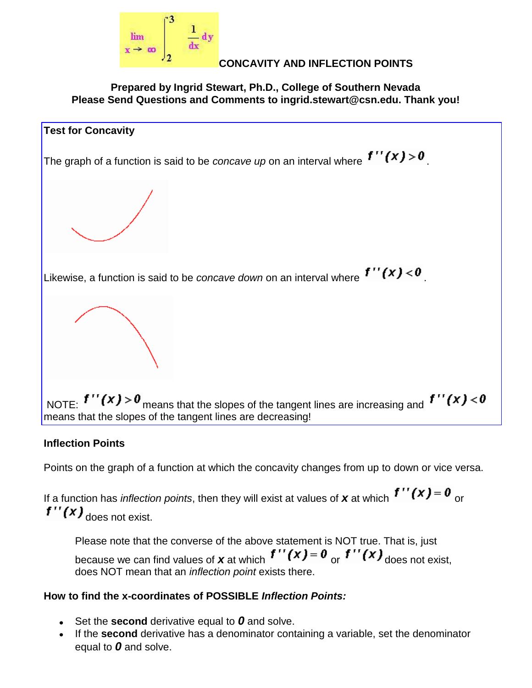

## **CONCAVITY AND INFLECTION POINTS**

**Prepared by Ingrid Stewart, Ph.D., College of Southern Nevada Please Send Questions and Comments to ingrid.stewart@csn.edu. Thank you!**



### **Inflection Points**

Points on the graph of a function at which the concavity changes from up to down or vice versa.

If a function has *inflection points*, then they will exist at values of **x** at which  $f''(x) = 0$  or  $f''(x)$ <sub>does not exist.</sub>

Please note that the converse of the above statement is NOT true. That is, just because we can find values of **x** at which  $f''(x) = 0$  or  $f''(x)$  does not exist, does NOT mean that an *inflection point* exists there.

# **How to find the x-coordinates of POSSIBLE** *Inflection Points:*

- Set the **second** derivative equal to *0* and solve.
- If the **second** derivative has a denominator containing a variable, set the denominator equal to *0* and solve.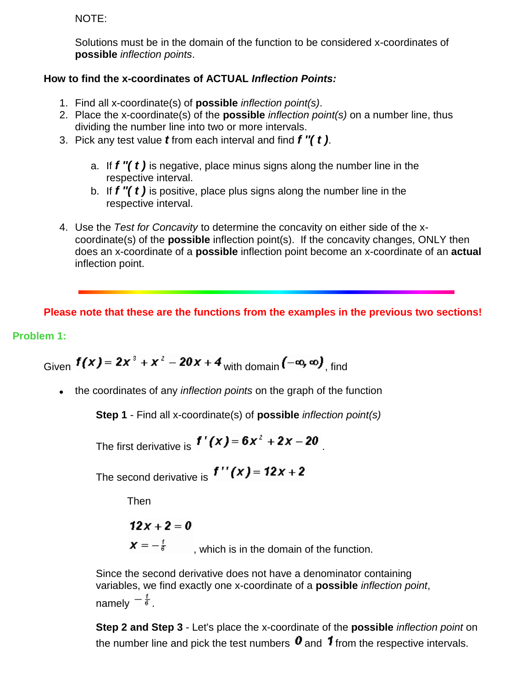NOTE:

Solutions must be in the domain of the function to be considered x-coordinates of **possible** *inflection points*.

### **How to find the x-coordinates of ACTUAL** *Inflection Points:*

- 1. Find all x-coordinate(s) of **possible** *inflection point(s)*.
- 2. Place the x-coordinate(s) of the **possible** *inflection point(s)* on a number line, thus dividing the number line into two or more intervals.
- 3. Pick any test value *t* from each interval and find *f ''( t )*.
	- a. If *f ''( t )* is negative, place minus signs along the number line in the respective interval.
	- b. If *f ''( t )* is positive, place plus signs along the number line in the respective interval.
- 4. Use the *Test for Concavity* to determine the concavity on either side of the xcoordinate(s) of the **possible** inflection point(s). If the concavity changes, ONLY then does an x-coordinate of a **possible** inflection point become an x-coordinate of an **actual** inflection point.

**Please note that these are the functions from the examples in the previous two sections!**

### **Problem 1:**

Given 
$$
f(x) = 2x^3 + x^2 - 20x + 4
$$
 with domain  $(-\infty, \infty)$ , find

the coordinates of any *inflection points* on the graph of the function

**Step 1** - Find all x-coordinate(s) of **possible** *inflection point(s)*

The first derivative is 
$$
f'(x) = 6x^2 + 2x - 20
$$

The second derivative is  $f''(x) = 12x + 2$ 

Then

$$
12x + 2 = 0
$$

 $x = -\frac{1}{6}$ , which is in the domain of the function.

Since the second derivative does not have a denominator containing variables, we find exactly one x-coordinate of a **possible** *inflection point*, namely  $-\frac{1}{6}$ .

**Step 2 and Step 3** - Let's place the x-coordinate of the **possible** *inflection point* on the number line and pick the test numbers  $\mathbf 0$  and  $\mathbf 1$  from the respective intervals.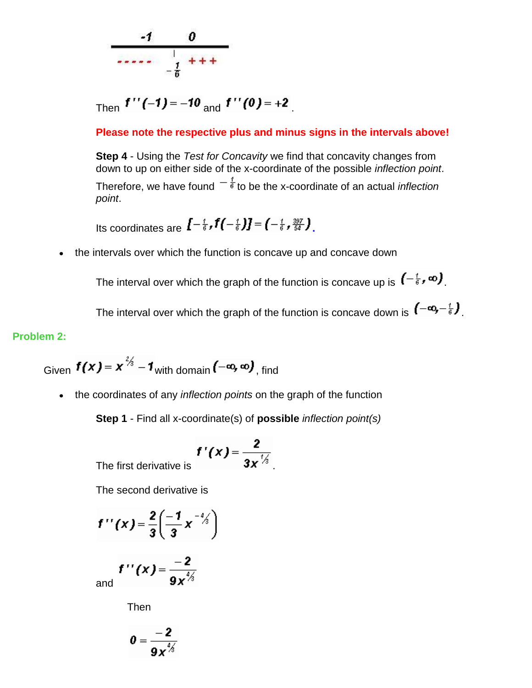

Then  $f''(-1) = -10$  and  $f''(0) = +2$ 

**Please note the respective plus and minus signs in the intervals above!**

**Step 4** - Using the *Test for Concavity* we find that concavity changes from down to up on either side of the x-coordinate of the possible *inflection point*. Therefore, we have found  $\overline{f}$  to be the x-coordinate of an actual *inflection point*.

Its coordinates are  $I^{-\frac{t}{6}}$ **,**  $f(-\frac{t}{6})J=(-\frac{t}{6},\frac{397}{54})$ 

the intervals over which the function is concave up and concave down  $\bullet$ 

The interval over which the graph of the function is concave up is  $\left(-\frac{t}{6},\infty\right)$ .

The interval over which the graph of the function is concave down is  $(-\infty, -\frac{1}{6})$ .

### **Problem 2:**

Given 
$$
f(x) = x^{\frac{2}{3}} - 1
$$
 with domain  $(-\infty, \infty)$ , find

the coordinates of any *inflection points* on the graph of the function  $\bullet$ 

**Step 1** - Find all x-coordinate(s) of **possible** *inflection point(s)*

$$
f'(x) = \frac{2}{3x^{\frac{7}{3}}}
$$

The first derivative is .

The second derivative is

$$
f''(x)=\frac{2}{3}\left(\frac{-1}{3}x^{-\frac{3}{3}}\right)
$$

and 
$$
f''(x) = \frac{-2}{9x^{1/3}}
$$

Then

$$
0=\frac{-2}{9x^{4/3}}
$$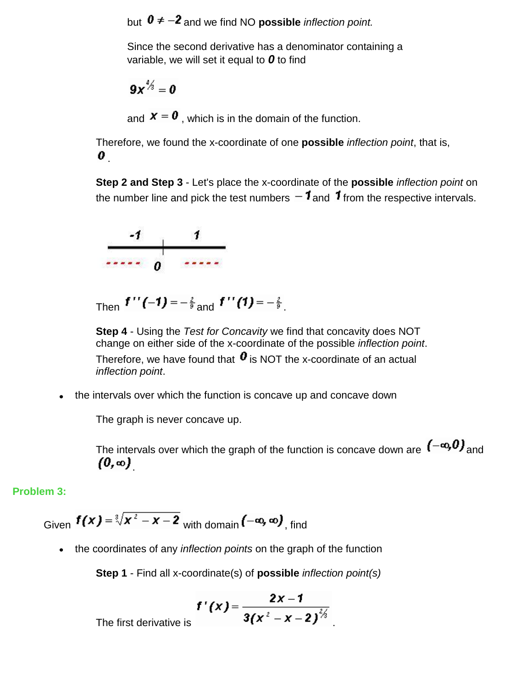but  $0 \neq -2$  and we find NO **possible** *inflection point.* 

Since the second derivative has a denominator containing a variable, we will set it equal to *0* to find

 $9x^{1/3} = 0$ 

and  $\boldsymbol{X} = \boldsymbol{0}$ , which is in the domain of the function.

Therefore, we found the x-coordinate of one **possible** *inflection point*, that is,  $\bm{o}_{\perp}$ 

**Step 2 and Step 3** - Let's place the x-coordinate of the **possible** *inflection point* on the number line and pick the test numbers  $-1$  and  $1$  from the respective intervals.



Then  $f''(-1) = -\frac{2}{9}$  and  $f''(1) = -\frac{2}{9}$ .

**Step 4** - Using the *Test for Concavity* we find that concavity does NOT change on either side of the x-coordinate of the possible *inflection point*. Therefore, we have found that  $\boldsymbol{0}$  is NOT the x-coordinate of an actual *inflection point*.

the intervals over which the function is concave up and concave down

The graph is never concave up.

The intervals over which the graph of the function is concave down are  $(-\infty,0)$  and  $(0, \infty)$ 

### **Problem 3:**

Given  $f(x) = \sqrt[3]{x^2 - x - 2}$  with domain  $(-\infty, \infty)$ , find

the coordinates of any *inflection points* on the graph of the function

**Step 1** - Find all x-coordinate(s) of **possible** *inflection point(s)*

$$
f'(x) = \frac{2x-1}{3(x^2-x-2)^{\frac{2}{3}}}
$$

The first derivative is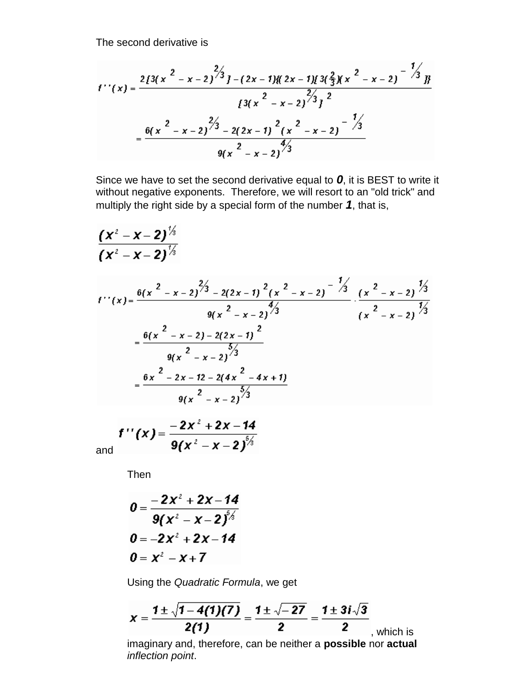The second derivative is

$$
f''(x) = \frac{2[3(x^{2} - x - 2)^{2/3} - (2x - 1)](2x - 1)[3(\frac{2}{3})(x^{2} - x - 2)^{-1/3}]}{[3(x^{2} - x - 2)^{2/3} - 1]^2}
$$

$$
= \frac{6(x^{2} - x - 2)^{2/3} - 2(2x - 1)^{2}(x^{2} - x - 2)^{-1/3}}{9(x^{2} - x - 2)^{4/3}}
$$

Since we have to set the second derivative equal to *0*, it is BEST to write it without negative exponents. Therefore, we will resort to an "old trick" and multiply the right side by a special form of the number *1*, that is,

$$
\frac{(x^2 - x - 2)^{\frac{1}{3}}}{(x^2 - x - 2)^{\frac{1}{3}}}
$$
\n
$$
f''(x) = \frac{\frac{6(x^2 - x - 2)^{\frac{2}{3}} - 2(2x - 1)^2 (x^2 - x - 2)^{-\frac{1}{3}}}{9(x^2 - x - 2)^{\frac{4}{3}}}}{\frac{9(x^2 - x - 2) - 2(2x - 1)^2}{(x^2 - x - 2)^{\frac{5}{3}}}}
$$
\n
$$
= \frac{\frac{6(x^2 - x - 2) - 2(2x - 1)^2}{9(x^2 - x - 2)^{\frac{5}{3}}}}{\frac{9(x^2 - x - 2)^{\frac{5}{3}}}{(x^2 - x - 2)^{\frac{5}{3}}}}
$$

and  $f''(x) = \frac{-2x^2 + 2x - 14}{9(x^2 - x - 2)^{5/3}}$ 

Then

$$
0 = \frac{-2x^2 + 2x - 14}{9(x^2 - x - 2)^{5/2}}
$$
  

$$
0 = -2x^2 + 2x - 14
$$
  

$$
0 = x^2 - x + 7
$$

Using the *Quadratic Formula*, we get

$$
X = \frac{1 \pm \sqrt{1 - 4(1)(7)}}{2(1)} = \frac{1 \pm \sqrt{-27}}{2} = \frac{1 \pm 3i\sqrt{3}}{2}
$$
, which is  
imaginary and, therefore, can be neither a possible nor actual

imaginary and, therefore, can be neither a **possible** nor **actual** *inflection point*.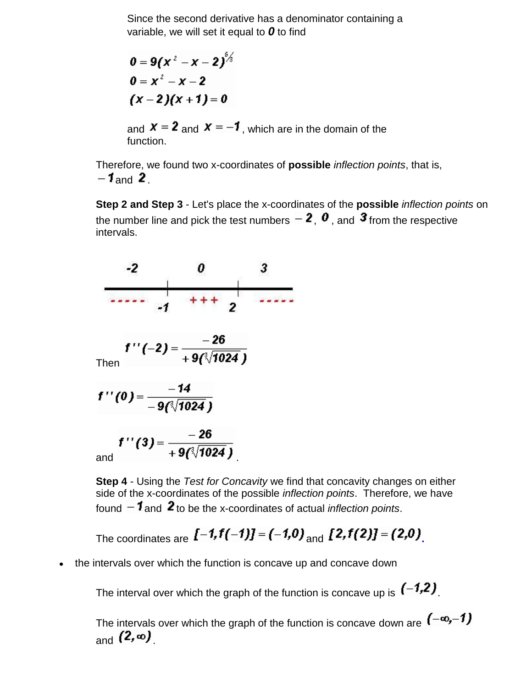Since the second derivative has a denominator containing a variable, we will set it equal to *0* to find

$$
0 = 9(x2 - x - 2)5/3
$$
  
0 = x<sup>2</sup> - x - 2  
(x - 2)(x + 1) = 0

and  $x = 2$  and  $x = -1$ , which are in the domain of the function.

Therefore, we found two x-coordinates of **possible** *inflection points*, that is,  $-1$  and 2

**Step 2 and Step 3** - Let's place the x-coordinates of the **possible** *inflection points* on the number line and pick the test numbers  $-2$ ,  $\bm{0}$ , and  $\bm{3}$  from the respective intervals.



**Step 4** - Using the *Test for Concavity* we find that concavity changes on either side of the x-coordinates of the possible *inflection points*. Therefore, we have found  $-1$  and  $2$  to be the x-coordinates of actual *inflection points*.

The coordinates are 
$$
[-1, f(-1)] = (-1, 0)
$$
 and  $[2, f(2)] = (2, 0)$ 

the intervals over which the function is concave up and concave down  $\bullet$ 

The interval over which the graph of the function is concave up is  $(-1,2)$ .

The intervals over which the graph of the function is concave down are  $(-\infty,-1)$  $_{\mathsf{and}}$  (2, $\infty$ )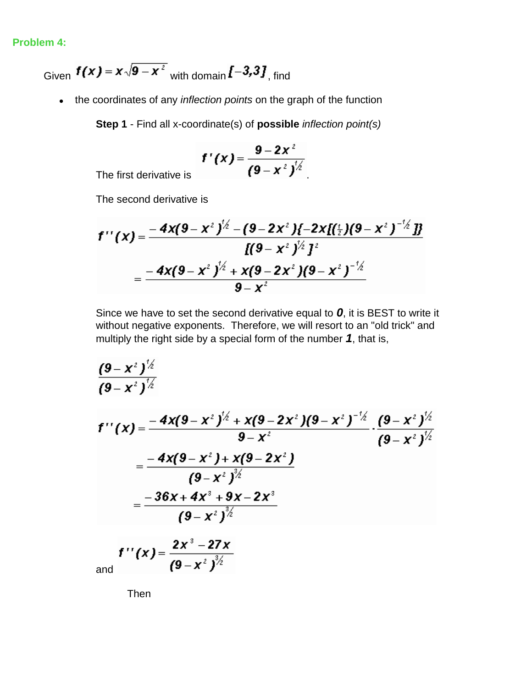#### **Problem 4:**

Given  $f(x) = x\sqrt{9-x^2}$  with domain  $\sqrt{1-3.3}$ , find

the coordinates of any *inflection points* on the graph of the function

**Step 1** - Find all x-coordinate(s) of **possible** *inflection point(s)*

$$
f'(x) = \frac{9-2x^2}{(9-x^2)^{1/2}}
$$

The first derivative is

The second derivative is

$$
f''(x) = \frac{-4x(9-x^2)^{1/2} - (9-2x^2)(-2x[(\frac{1}{2})(9-x^2)^{-1/2}]}{[(9-x^2)^{1/2}]^2}
$$
  
= 
$$
\frac{-4x(9-x^2)^{1/2} + x(9-2x^2)(9-x^2)^{-1/2}}{9-x^2}
$$

Since we have to set the second derivative equal to *0*, it is BEST to write it without negative exponents. Therefore, we will resort to an "old trick" and multiply the right side by a special form of the number *1*, that is,

$$
\frac{(9-x^2)^{\frac{1}{2}}}{(9-x^2)^{\frac{1}{2}}}
$$
\n
$$
f''(x) = \frac{-4x(9-x^2)^{\frac{1}{2}} + x(9-2x^2)(9-x^2)^{-\frac{1}{2}}}{9-x^2} \cdot \frac{(9-x^2)^{\frac{1}{2}}}{(9-x^2)^{\frac{1}{2}}}
$$
\n
$$
= \frac{-4x(9-x^2) + x(9-2x^2)}{(9-x^2)^{\frac{3}{2}}}
$$
\n
$$
= \frac{-36x + 4x^3 + 9x - 2x^3}{(9-x^2)^{\frac{3}{2}}}
$$

and  $f''(x) = \frac{2x^3 - 27x}{(9 - x^2)^{\frac{3}{2}}}$ 

Then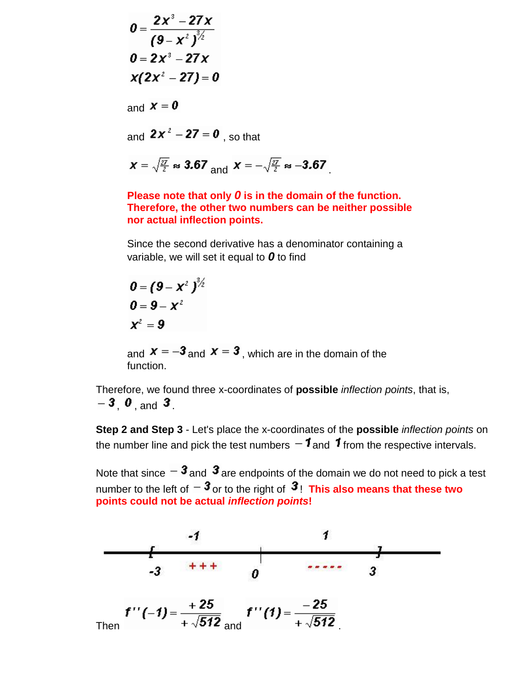$$
0 = \frac{2x^3 - 27x}{(9 - x^2)^{\frac{3}{2}}}
$$
  
\n
$$
0 = 2x^3 - 27x
$$
  
\n
$$
x(2x^2 - 27) = 0
$$
  
\nand  $x = 0$ 

and  $2x^2 - 27 = 0$ , so that

$$
x = \sqrt{\frac{27}{2}} \approx 3.67
$$
 and 
$$
x = -\sqrt{\frac{27}{2}} \approx -3.67
$$

### **Please note that only** *0* **is in the domain of the function. Therefore, the other two numbers can be neither possible nor actual inflection points.**

Since the second derivative has a denominator containing a variable, we will set it equal to *0* to find

$$
0 = (9 - x2)3/2\n0 = 9 - x2\nx2 = 9
$$

and  $x = -3$  and  $x = 3$ , which are in the domain of the function.

Therefore, we found three x-coordinates of **possible** *inflection points*, that is,  $-3$  0 and 3

**Step 2 and Step 3** - Let's place the x-coordinates of the **possible** *inflection points* on the number line and pick the test numbers  $-1$  and  $1$  from the respective intervals.

Note that since  $-\boldsymbol{3}$  and  $\boldsymbol{3}$  are endpoints of the domain we do not need to pick a test number to the left of  $-3$  or to the right of  $3$ ! This also means that these two **points could not be actual** *inflection points***!**

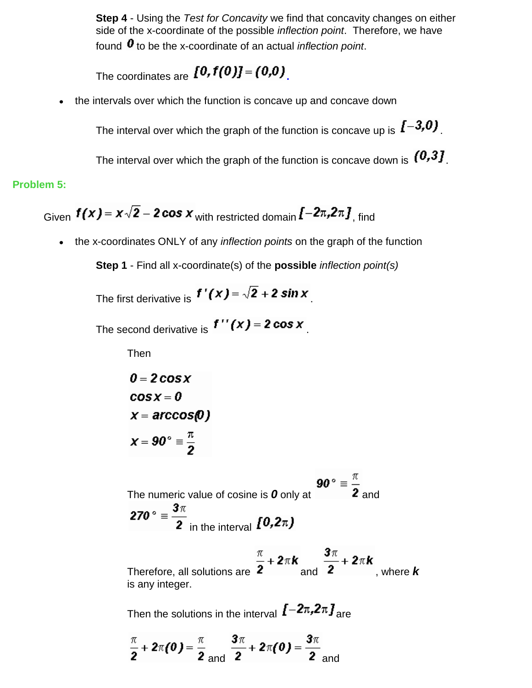**Step 4** - Using the *Test for Concavity* we find that concavity changes on either side of the x-coordinate of the possible *inflection point*. Therefore, we have found  $\boldsymbol{0}$  to be the x-coordinate of an actual *inflection point*.

The coordinates are  $[0, f(0)] = (0, 0)$ 

the intervals over which the function is concave up and concave down  $\bullet$ 

The interval over which the graph of the function is concave up is  $\sqrt{1-3.0}$ .

The interval over which the graph of the function is concave down is  $(0,3]$ .

### **Problem 5:**

Given 
$$
f(x) = x\sqrt{2} - 2\cos x
$$
 with restricted domain  $f^{-2\pi}, 2\pi J$ , find

the x-coordinates ONLY of any *inflection points* on the graph of the function  $\bullet$ 

**Step 1** - Find all x-coordinate(s) of the **possible** *inflection point(s)*

The first derivative is  $f'(x) = \sqrt{2} + 2 \sin x$ 

The second derivative is  $f''(x) = 2 \cos x$ 

Then

$$
0 = 2 \cos x
$$
  
\n
$$
\cos x = 0
$$
  
\n
$$
x = \arccos(0)
$$
  
\n
$$
x = 90^{\circ} = \frac{\pi}{2}
$$

The numeric value of cosine is **0** only at  $\overline{90^{\circ}} = \frac{\pi}{2}$  and 270 ° =  $\frac{3\pi}{2}$  in the interval  $\bm{[0,2\pi)}$ 

Therefore, all solutions are  $\frac{\pi}{2} + 2\pi k$  and  $\frac{3\pi}{2} + 2\pi k$ , where *k* is any integer.

Then the solutions in the interval  $\textit{[-2}\pi,2\pi\textit{]}_{\text{are}}$ 

$$
\frac{\pi}{2} + 2\pi(0) = \frac{\pi}{2}
$$
 and  $\frac{3\pi}{2} + 2\pi(0) = \frac{3\pi}{2}$  and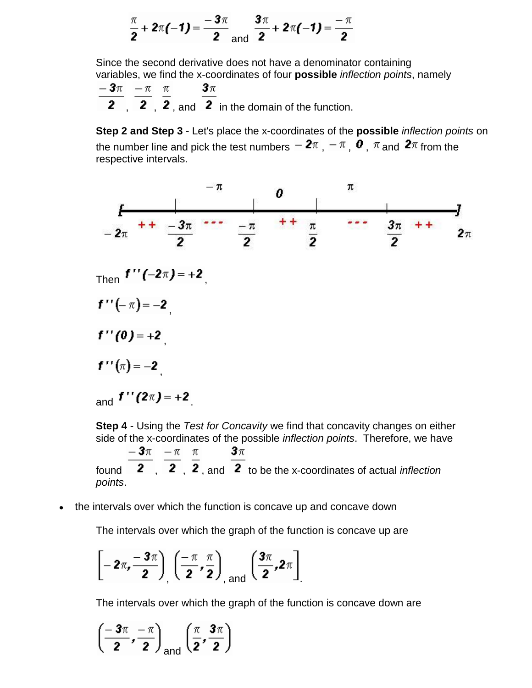$$
\frac{\pi}{2} + 2\pi(-1) = \frac{-3\pi}{2} \text{ and } \frac{3\pi}{2} + 2\pi(-1) = \frac{-\pi}{2}
$$

Since the second derivative does not have a denominator containing variables, we find the x-coordinates of four **possible** *inflection points*, namely

$$
\frac{-3\pi}{2}, \frac{-\pi}{2}, \frac{\pi}{2}, \text{ and } \frac{3\pi}{2} \text{ in the domain of the function.}
$$

**Step 2 and Step 3** - Let's place the x-coordinates of the **possible** *inflection points* on the number line and pick the test numbers  $-2\pi$  ,  $-\pi$  ,  $\boldsymbol{0}$  ,  $\pi$  and  $2\pi$  from the respective intervals.



**Step 4** - Using the *Test for Concavity* we find that concavity changes on either side of the x-coordinates of the possible *inflection points*. Therefore, we have

 $\frac{-3\pi}{\pi}$   $\frac{-\pi}{\pi}$   $\frac{\pi}{\pi}$  $3\pi$ found  $\overline{2}$  ,  $\overline{2}$  ,  $\overline{2}$  , and  $\overline{2}$  to be the x-coordinates of actual *inflection points*.

the intervals over which the function is concave up and concave down

The intervals over which the graph of the function is concave up are

$$
\left[-2\pi,\frac{-3\pi}{2}\right],\left(\frac{-\pi}{2},\frac{\pi}{2}\right)_{\text{and}}\left(\frac{3\pi}{2},2\pi\right]
$$

The intervals over which the graph of the function is concave down are

$$
\left(\frac{-3\pi}{2},\frac{-\pi}{2}\right)_{\text{and}}\left(\frac{\pi}{2},\frac{3\pi}{2}\right)
$$